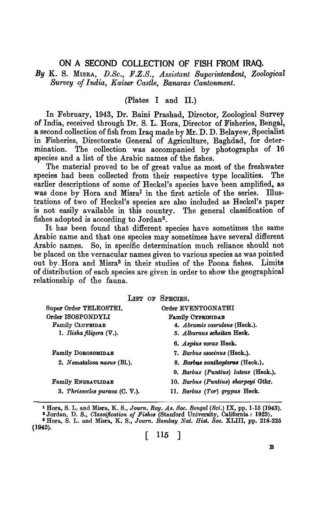# ON A SECOND COLLECTION OF FISH FROM IRAQ.

By K. S. MISRA, D.Sc., F.Z.S., Assistant Superintendent, Zoological *Survey of India, Kaiser Castle, Banaras Cantonment.* 

## (Plates I and II.)

In February, 1943, Dr. Baini Prashad, pirector, Zoological Survey of India, received through Dr. S. L. Hora, Director of Fisheries, Bengal, a second collection of fish from Iraq made by Mr. D. D. Belayew, Specialist in Fisheries, Directorate General of Agriculture, Baghdad, for determination. The collection was accompanied by photographs of 16 species and a list of the Arabic names of the fishes.

The material proved to be of great value as most of the freshwater species had been collected from their respective type localities. The earlier descriptions of some of Heckel's species have been amplified, as was done by Hora and Misra<sup>1</sup> in the first article of the series. Illustrations of two of Heckel's species are also included as Heckel's paper is not easily available in this country. The general classification of fishes adopted is according to Jordan<sup>2</sup>.

It has been found that different species have sometimes the same Arabic name and that one species may sometimes have several different Arabic names. So, in specific determination much reliance should not be placed on the vernacular names given to various species as was pointed out by Hora and Misra<sup>3</sup> in their studies of the Poona fishes. Limits of distribution of each species are given in order to show the geographical relationship of the fauna.

|                                  | LIST OF SPECIES.                    |
|----------------------------------|-------------------------------------|
| Super Order TELEOSTEI.           | Order EVENTOGNATHI                  |
| Order ISOSPONDYLI                | <b>Family CYPRINIDAE</b>            |
| <b>Family CLUPEIDAE</b>          | 4. Abramis caeruleus (Heck.).       |
| 1. Ilisha filigera $(V.$ ).      | 5. Alburnus scheitan Heck.          |
|                                  | 6. Aspius vorax Heck.               |
| <b>Family DOROSOMIDAE</b>        | 7. Barbus esocinus (Heck.).         |
| 2. Nematalosa nasus (Bl.).       | 8. Barbus xanthopterus (Heck.).     |
|                                  | 9. Barbus (Puntius) luteus (Heck.). |
| <b>Family ENGRAULIDAE</b>        | 10. Barbus (Puntius) sharpeyi Gthr. |
| 3. Thrissocles purava $(C, V)$ . | 11. Barbus (Tor) grypus Heck.       |

<sup>1</sup>Hora, S. L. and Misra, K. S., *Journ. Roy. As. Soc. Bengal (Sci.)* IX, pp. 1-15 (1943). <sup>2</sup> Jordan, D. S., *Classification of Fishes* (Stanford University, California: 1923). 8 Hora, S. L. and Misra, K. S., *Journ. Bombay Nat. Rist. Soc.* XLIII, pp. *21B-225*  (1942).

 $\begin{bmatrix} 115 \end{bmatrix}$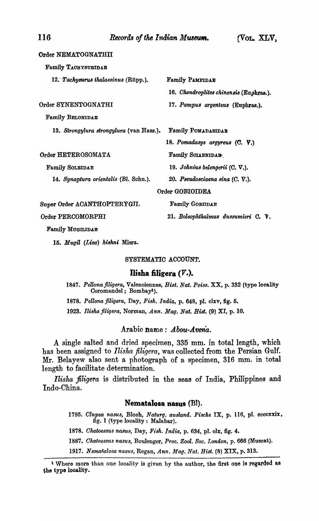Order NEMATOGNATHIT Family TACHYSURIDAE 12. *Tachysurus thalassinus* (Rüpp.). Family PAMPIDAE 16. Chondroplites chinensis (Eaphras.). Order SYNENTOGNATHI 17. Pampus argenteus (Euphras.). Family BELONIDAE *13. Strongylura 8trongylura* (van Hass.). Family POMADABIDAE Order HETEROSOMATA Family SOLEIDAE 14. Synaptura orientalis (Bl. Schn.). Super Order ACANTHOPTERYGII. Order PERCOMORPHI *18. Pomadasys argyreu8 (C.* V.) Family SOIAENIDAH. 19. Johnius belengerii (C. V.). *20. P8eudo8ciaena aina* (C. V.). Order GOBIOIDEA Family GOBIIDAE 21. Boleophthalmus dussumieri C. V.

Family MUGILIDAE

*-15. Mugil (Liza) ki8kni* Misra.

#### SYSTEMATIC ACCOUNT.

## Ilisha filigera (V.).

*1847. Pellonajiligera,* Valenoiennes, *Hist. Nat. Poise.* XX, p. 332 (type locality Coromandel; Bombay!).

*1878. Pellona jiligera,* Day, *Fi8h. India,* p. 648, pl. clxv, fig. 5.

*1923. lli8ka jiligera,* Norman, Ann. *Mag. Nat. Bist.* (9) XI, p. 10.

## Arabic name: *Abou-Avena.*

A single salted and dried specimen, 335 mm. in total length, which has been assigned to *Ilisha filigera*, was collected from the Persian Gulf. Mr. Belayew also sent a photograph of a specimen, 316 mm. in total length to faoilitate determination.

*Ilisha filigera* is distributed in the seas of India, Philippines and Indo-China.

#### Nematalosa nasus (Bl).

1795. Clupea nasus, Bloch, *Naturg. ausland. Fische* IX, p. 116, pl. eccexxix, fig. 1 (type locality: Malabar).

1878. *Chatoessus nasus*, Day, Fish. India, p. 634, pl. olx, fig. 4.

1887. Chatoessus nasus, Boulenger, Proc. Zool. Soc. London, p. 666 (Muscat).

1917. Nematalosa nasus, Regan, *Ann. Mag. Nat. Hist.* (8) XIX, p. 313.

<sup>&</sup>lt;sup>1</sup> Where more than one locality is given by the author, the first one is regarded as the typo looality. .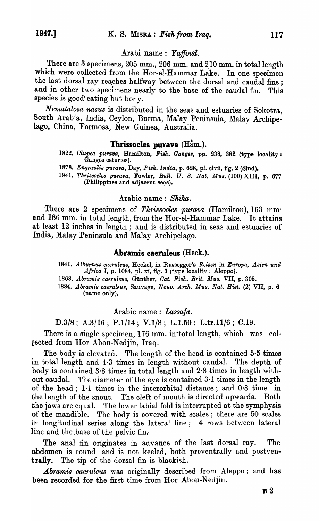## Arabi name: Yaffoud.

There are 3 specimens, 205 mm., 206 mm. and 210 mm. in total length which were collected from the Hor-el-Hammar Lake. In one specimen the last dorsal ray reaches halfway between the dorsal and caudal fins; and in other two specimens nearly to the base of the caudal fin. This species is good eating but bony.

*Nematalosa nasus* is distributed in the seas and estuaries of Sokotra, South Arabia, India, Ceylon, Burma, Malay Peninsula, Malay Archipelago, China, Formosa, New Guinea, Australia.

# Thrissocles purava  $(Ham.)$ .

- *1822. Olupea purava,* Hamilton, *Fish. Ganges,* pp. 238, 382 (type .looality : Ganges esturies).
- 1878. Engraulis purava, Day, Fish. India, p. 628, pl. clvii, fig. 2 (Sind).
- *1941. Thrissocles purava,* Fowler, *Bull. U. S. Nat. Mus.* (100) XIII, p. 677 (Philippines and adjacent seas).

# Arabic name: *Shika.*

There are 2 specimens of *Tkrissocles purava* (Hamilton), 163 mm· and 186 mm. in total length, from the Hor-el-Hammar Lake. It attains at least 12 inches in length; and is distributed in seas and estuaries of India, Malay Peninsula and Malay Archipelago.

## Abramis caeruleus (Heck.).

- *1841. AlbufflUS caeruleus,* Heckel, in Russegger's *Reisen* in *Europa, Asien und Africa* I, p. 1084, pl. xi, fig. 3 (type locality: Aleppo).
- 1868. Abramis caeruleus, Günther, Cat. Fish. Brit. Mus. VII, p. 308.

1884. Abramis caeruleus, Sauvage, *Nouv. Arch. Mus. Nat. Hist.* (2) VII, p. 6 (name only).

## Arabic name: *Lassafa.*

*D.3/S;* A.3!16; *P.1/14;* V.I/S; L.I.50; L.tr.11/6; 0.19.

There is a single specimen, 176 mm. in total length, which was collected from Hor Abou-Nedjin, Iraq.

The body is elevated. The length of the head is contained  $5·5$  times in total length and 4·3 times in length without caudal. The depth of body is contained 3·8 times in total length and 2·8 times in' length without caudal. The diameter of the eye is contained 3·1 times in the length of the head; 1·1 times in the interorbital distance; and 0·8 time in the length of the snout. The cleft of mouth is directed upwards. Both the jaws are equal. The lower labial fold is interrupted at the symphysis of the mandible. The body is covered with scales; there are 50 scales in longitudinal series along the lateral line; 4 rows between lateral line and the base of the pelvic fin.

The anal fin originates in advance of the last dorsal ray. The abdomen is round and is not keeled, both preventrally and postventrally. The tip of the dorsal fin is blackish.

*Abramis caeruleus* was originally described from Aleppo; and has been recorded for the first time from Hor Abou-Nedjin.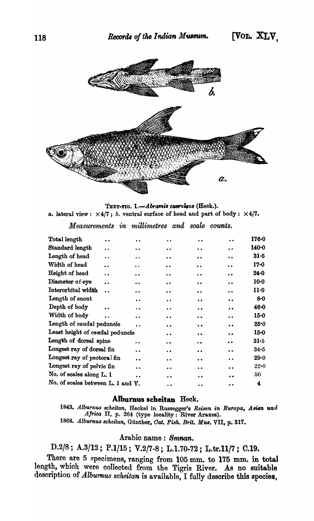

TEXT-FIG. 1.-Abramis caeruleus (Heck.). *a.* lateral view:  $\times$  4/7; *b.* ventral surface of head and part of body:  $\times$  4/7.

 $\boldsymbol{M}\boldsymbol{e}$  *asurements* in *millimetres* and scale counts.

| Total length                              | $\ddot{\phantom{0}}$ | $\bullet$            | $\ddot{\phantom{0}}$ | $\bullet\,\bullet$   | $\bullet\bullet$     | $176 - 0$ |
|-------------------------------------------|----------------------|----------------------|----------------------|----------------------|----------------------|-----------|
| Standard length                           | $\ddot{\phantom{a}}$ | . .                  | $\bullet$            | $\ddot{\phantom{a}}$ | $\bullet\bullet$     | 140.0     |
| Length of head                            | $\ddot{\phantom{a}}$ | . .                  | $\bullet$            | $\ddot{\phantom{0}}$ | $\bullet$            | $31-5$    |
| Width of head                             | $\bullet$            | $\ddot{\phantom{a}}$ | $\bullet\bullet$     | $\bullet\bullet$     | $\bullet\bullet$     | $17 - 0$  |
| Height of head                            | $\ddot{\phantom{0}}$ | $\ddot{\phantom{0}}$ | $\bullet$            | $\ddot{\phantom{0}}$ | $\bullet$            | $24 - 0$  |
| Diameter of eye                           | $\ddot{\phantom{a}}$ | $\ddot{\phantom{0}}$ | $\bullet$            | $\bullet$            | $\bullet$            | $10-0$    |
| Interorbital width                        | $\ddot{\phantom{a}}$ | $\ddot{\phantom{0}}$ | $\bullet$            | $\ddot{\phantom{0}}$ | $\bullet\bullet$     | $11-0$    |
| Length of snout                           |                      | $\bullet$            | $\ddot{\phantom{a}}$ | $\bullet\bullet$     | $\ddot{\phantom{0}}$ | $8 - 0$   |
| Depth of body                             |                      | $\ddot{\phantom{a}}$ | $\bullet$            | $\bullet\bullet$     | $\ddot{\phantom{1}}$ | 46.0      |
| Width of body                             |                      | $\ddot{\phantom{a}}$ | $\bullet$            | $\bullet$            | $\bullet$            | $15 - 0$  |
| Length of caudal peduncle                 |                      | $\ddot{\phantom{0}}$ | $\bullet\bullet$     | $\bullet$            | $\ddot{\phantom{0}}$ | 25.0      |
| Least height of caudal peduncle           |                      |                      | $\bullet$            | $\bullet\bullet$     | $\bullet$            | $15 - 0$  |
| Length of dorsal spine                    |                      | . .                  | $\ddot{\bullet}$     | $\ddot{\phantom{a}}$ | . .                  | $31-5$    |
| Longest ray of dorsal fin                 |                      | $\ddot{\phantom{a}}$ | $\ddot{\phantom{1}}$ | $\bullet$            | $\bullet\bullet$     | $34 - 5$  |
| Longest ray of pectoral fin               |                      | $\bullet$            | . .                  | $\bullet$            | $\ddot{\phantom{0}}$ | $29 - 0$  |
| Longest ray of pelvic fin                 |                      |                      | . .                  | $\bullet$            | $\ddot{\phantom{0}}$ | $22 - 0$  |
| No. of scales along L. 1                  |                      | $\ddot{\phantom{a}}$ | $\bullet\bullet$     | . .                  | $\bullet$            | 50        |
| No. of scales between L. 1 and $\nabla$ . |                      |                      |                      | $\bullet\bullet$     |                      | 4         |

# Alburnus scheitan Heck.

1843. Alburnus scheitan, Heckel in Russegger's Reisen in Europa, Asien und Africa II, p. 264 (type locality: River Araxes). 1868. *Alburnus 8cheitan,* Gunther, Oat. *Fish. Brit. MU8.* VII, p. 317.

# Arabic name: Smnan.

D.2/8; A.3/12; P.1/15; V.2/7-8; L.1.70-72; L.tr.11/7; C.19.

There are 5 specimens, ranging from 105 mm. to 175 mm. in total length, which were collected from the Tigris River. As no suitable description of *Alburnus scheitan* is available, I fully describe this species,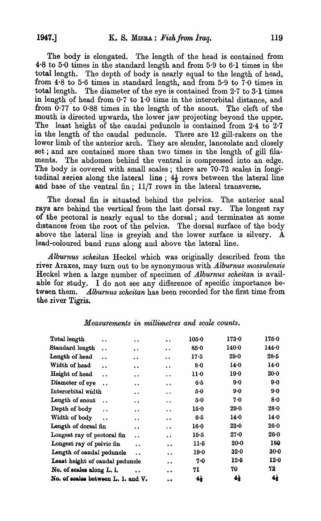The body is elongated. The length of the head is contained from 4·8 to 5·0 times in the standard length and from 5·9 to 6·1 times in the total length. The depth of body is nearly equal to the length of head, from  $4.8$  to  $5.6$  times in standard length, and from  $5.9$  to  $7.0$  times in . total length. The diameter of the eye is contained from 2-7 to 3·1 times in length of head from  $0.7$  to  $1.0$  time in the interorbital distance, and from  $0.77$  to  $0.88$  times in the length of the snout. The cleft of the mouth is directed upwards, the lower jaw projecting beyond the upper. The least height of the caudal peduncle is contained from 2.4 to 2.7 in the length of the caudal peduncle. There are 12 gill-rakers on the lower limb of the anterior arch. They are slender, lanceolate and closely set; and are contained more than two times in the length of gill filaments. The abdomen behind the ventral is compressed into an edge. The body is covered with small scales; there are  $70-72$  scales in longitudinal series along the lateral line;  $4\frac{1}{2}$  rows between the lateral line and base of the ventral fin; 11/7 rows in the lateral transverse.

The dorsal fin is situated behind the pelvics. The anterior anal rays are behind the vertical from the last dorsal ray. The longest ray of the peotoral is nearly equal to the dorsal; and terminates at some distances from the root of the pelvics. The dorsal surface of the body above the lateral line is greyish and the lower surface is silvery. A lead-coloured band runs along and above the lateral line.

*Alburnus scheitan* Heckel which was originally described from the river Araxes, may turn out to be synonymous with *Alburnus mossulensis* Heckel when a large number of specimen of *Alburnus scheitan* is available for study. I do not see any difference of specific importance between them. *Alburnus scheitan* has been recorded for the first time from the river Tigris.

| Total length<br>$\ddot{\phantom{0}}$    | $\ddot{\phantom{0}}$ | $\bullet\; \bullet$  | $105 - 0$      | 173.0          | 175.0          |
|-----------------------------------------|----------------------|----------------------|----------------|----------------|----------------|
| Standard length<br>$\ddot{\phantom{0}}$ | $\ddot{\phantom{a}}$ | $\ddot{\phantom{0}}$ | $85 - 0$       | $140 - 0$      | 144.0          |
| Length of head<br>$\ddot{\phantom{0}}$  | $\ddot{\phantom{0}}$ | $\ddot{\phantom{a}}$ | $17-5$         | $29 - 0$       | $28 - 5$       |
| Width of head<br>$\ddot{\phantom{a}}$   | $\bullet$            | $\bullet$            | 8·0            | 14.0           | 14.0           |
| Height of head<br>$\ddot{\phantom{a}}$  | $\ddot{\phantom{0}}$ | $\bullet$            | $11-0$         | $19-0$         | $20 - 0$       |
| Diameter of eye<br>$\ddot{\phantom{a}}$ | $\ddot{\bullet}$     | $\ddot{\phantom{0}}$ | 6.5            | 9.0            | $9-0$          |
| Interorbital width                      | $\ddot{\phantom{0}}$ | $\ddot{\bullet}$     | 5.0            | $9-0$          | $9 - 0$        |
| Length of snout<br>$\ddot{\phantom{a}}$ | $\ddot{\phantom{0}}$ | $\bullet$            | 5.0            | 7.0            | 8.0            |
| Depth of body<br>$\ddot{\phantom{a}}$   | $\ddot{\bullet}$     | $\ddot{\phantom{0}}$ | 15.0           | 29.0           | $28 - 0$       |
| Width of body<br>$\ddot{\phantom{a}}$   | $\ddot{\phantom{0}}$ | $\ddot{\phantom{0}}$ | 6·5            | 14.0           | 14.0           |
| Length of dorsal fin                    | $\ddot{\phantom{0}}$ | $\ddot{\phantom{a}}$ | $16-0$         | $23 - 0$       | $26 - 0$       |
| Longest ray of pectoral fin             | $\ddot{\phantom{0}}$ | $\bullet$            | $15-5$         | $27 - 0$       | $26 - 0$       |
| Longest ray of pelvic fin               | $\ddot{\phantom{0}}$ | $\bullet$            | $11-5$         | $20 - 0$       | 180            |
| Length of caudal peduncle               | $\ddot{\phantom{a}}$ | $\bullet$            | $19-0$         | $32 - 0$       | $30 - 0$       |
| Least height of caudal peduncle         |                      | $\bullet$            | 7.0            | $12-5$         | 12.0           |
| No. of scales along L. l.               | $\ddot{\phantom{a}}$ | $\bullet$            | 71             | 70             | 72             |
| No. of scales between L. l. and V.      |                      | $\bullet$            | 4 <sub>1</sub> | 4 <sub>t</sub> | 4 <sub>i</sub> |
|                                         |                      |                      |                |                |                |

# *Measurements in millimetres and scale counts.*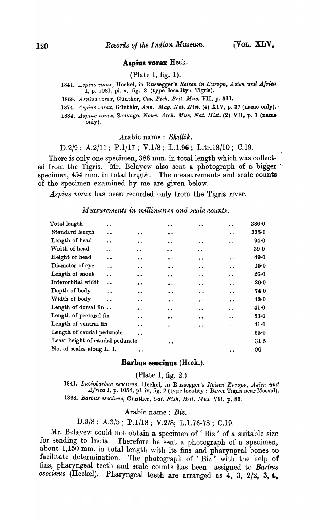#### Aspius vorax Heck.

(Plate I, fig. 1).

1841. *Aspius vorax*, Heckel, in Russegger's *Reisen in Europa*, Asien und Africa  $1, p. 1081, pl. x, fig. 3 (type locality: Tigris).$ 

1868. Aspius vorax, Günther, *Cat. Fish. Brit. Mus.* VII, p. 311.

1874. Aspius vorax, Günther, *Ann. Mag. Nat. Hist.* (4) XIV, p. 37 (name only).

*1884. A8piu8 t'orax,* Sauvage, *Nouv. Arch. MU8. Nat. Hi8t.* (2) VII, p. 7 (name only).

Arabic name : Shillik.

D.2/9; A.2/11; P.1/17; V.1/8; L.1.96; L.tr.18/10; C.19.

There is only one specimen, 386 mm. in total length which was collected from the Tigris. Mr. Belayew also sent a photograph of a bigger specimen, 454 mm. in total length. The measurements and scale counts of the specimen examined by me are given below.

*Aspius vorax* has been recorded only from the Tigris river.

## *Measurements in millimetres and scale counts.*

| Total length                    | $\ddot{\phantom{a}}$ |                      | . .                  | . .                  | $\ddot{\phantom{a}}$                         | 386.0    |
|---------------------------------|----------------------|----------------------|----------------------|----------------------|----------------------------------------------|----------|
| Standard length                 | $\ddot{\phantom{a}}$ | $\bullet\bullet$     | $\bullet$            |                      | $\bullet$                                    | 335.0    |
| Length of head                  | $\bullet\bullet$     | $\cdot$ $\cdot$      | $\ddot{\phantom{0}}$ | $\ddot{\phantom{0}}$ | $\bullet\;\bullet$                           | 94.0     |
| Width of head                   | $\ddot{\phantom{0}}$ | $\ddot{\phantom{a}}$ | $\cdot$ $\cdot$      | $\bullet\ \bullet$   |                                              | 39.0     |
| Height of head                  | $\ddot{\phantom{a}}$ | . .                  | $\ddot{\phantom{a}}$ | . .                  | $\bullet\hspace{1mm}\bullet\hspace{1mm}$     | 49.0     |
| Diameter of eye                 | $\ddot{\phantom{0}}$ | $\ddot{\phantom{0}}$ | $\cdot$ .            | $\bullet\bullet$     | $\bullet\bullet$                             | 15.0     |
| Length of snout                 | $\ddot{\phantom{a}}$ | $\bullet\bullet$     | $\ddot{\phantom{0}}$ | $\ddot{\phantom{0}}$ | . .                                          | 26·0     |
| Interorbital width              | $\ddot{\phantom{0}}$ | $\bullet$            | $\bullet$            | $\ddot{\phantom{0}}$ | $\bullet\;\bullet$                           | $20 - 0$ |
| Depth of body                   | $\ddot{\phantom{a}}$ | $\bullet\bullet$     | $\bullet$            | $\cdot$ $\cdot$      | $\bullet\bullet$                             | 74.0     |
| Width of body                   | $\ddot{\phantom{0}}$ | $\bullet$ $\bullet$  | $\cdot$ $\cdot$      | . .                  | $\bullet\bullet$                             | 43.0     |
| Length of dorsal fin            |                      |                      | $\ddot{\phantom{a}}$ | . .                  | $\cdot$ .                                    | 41.0     |
| Length of pectoral fin          |                      | $\bullet$            | $\bullet$            | $\ddot{\phantom{a}}$ | $\ddot{\cdot}$                               | 53.0     |
| Length of ventral fin           |                      | $\ddot{\phantom{0}}$ | $\ddot{\phantom{0}}$ | $\ddot{\phantom{a}}$ | $\bullet$ $\bullet$                          | 41.0     |
| Length of caudal peduncle       |                      | . .                  |                      |                      |                                              | 65.0     |
| Least height of caudal peduncle |                      |                      |                      |                      |                                              | 31.5     |
| No. of scales along L. 1.       |                      | . .                  |                      |                      | $\bullet\hspace{1.9mm}\bullet\hspace{1.9mm}$ | 96       |

## Barbus esocinus (Heck.).

(Plate I, fig. 2.)

1841. Luciobarbus esocinus, Heckel, in Russegger's *Reisen Europa, Asien und Africa* I, p. 1054, pI. iv, fig. 2 (type locality: River Tigris near Mossul). 1868. Barbus esocinus, Günther, Cat. Fish. Brit. Mus. VII, p. 86.

### Arabic name: *Biz.*

*D.3/8; A.3/5;* P.I/I8; V.2/8; L.I.76-78; C.I9.

Mr. Belayew could not obtain a specimen of 'Biz' of a suitable size for sending to India. Therefore he sent a photograph of a specimen, about 1,150 mm. in total length with its fins and pharyngeal bones to facilitate determination. The photograph of 'Biz' with the help of fins, pharyngeal teeth and scale counts has been assigned to *Barbus esocinus* (Heckel). Pharyngeal teeth are arranged as 4, 3, 2/2, 3, 4,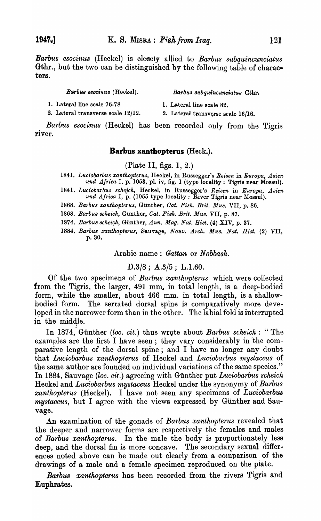*Barbus esocinus* (Heckel) -is closely allied to *Barbus subqu'incunciatus*  Gthr., but the two can be distinguished by the following table of characters.

| Barbus esocinus (Heckel). | Barbus subquincunciatus Gthr. |  |
|---------------------------|-------------------------------|--|
|---------------------------|-------------------------------|--|

1. Lateral line scale 76-78 1. Lateral line scale 82.

2. Lateral transverse scale  $12/12$ . 2. LateraJ transverse scale  $16/16$ .

*Barbus esocinus* (Heckel) has been recorded only from the Tigris river.

# **Batbus xanthopterus** (Heck.).

(Plate II, figs. 1, 2.)

- 1841. Luciobarbus xanthopterus, Heckel, in Russegger's *Reisen* in Europa, Asien *und Africa* I, p. 1053, pl. iv, fig. 1 (type locality: Tigris near Mossul).
- *1841. Luciobarbus schejch,* Heckel, in Russegger's *Reisen* in *Europa, Asien*  und Africa I, p. (1055 type locality: River Tigris near Mossul).

*1868. Barbus xanthopteru8,* Giinther, *Cat. Fish. Brit. Mus.* VII, p. 86.

1868. Barbus scheich, Günther, Cat. Fish. Brit. Mus. VII, p. 87.

1874. Barbus scheich, Günther, *Ann. Mag. Nat. Hist.* (4) XIV, p. 37.

*1884. Barbus xanthopterus,* Sauvage, *Nouv. Arch. Mus. Nat. [list.* (2) VII, p.30.

Arabic name: *Gattan* or *N obbash.* 

# ]).3/8; *A.3/5;* L.l.60.

Of the two specimens of *Barbus xanthopterus* which were collected from the Tigris, the larger, 491 mm. in total length, is a deep-bodied form, while the smaller, about 466 mm. in total length, is a shallowbodied form. The serrated dorsal spine is comparatively more developed in the narrower form than in the other. The labial fold is interrupted in the middle.

In 1874, Günther *(loc. cit.)* thus wrote about *Barbus scheich*: "The examples are the first I have seen; they vary considerably in the comparative length of the dorsal spine; and I have no longer any doubt that *Luciobarbus xanthopterus* of Heckel and *Lllciobarbus rnystaceus* of the same author are founded on individual variations of the same species." In 1884, Sauvage *(loc. cit.)* agreeing with Günther put *Luciobarbus scheich* Heckel and *Luciobarbus mystaceus* Heckel under the synonymy of *Barbus xanthopterus* (Heckel). I have not seen any specimens of *Luciobarbu8 mystaceus,* but I agree with the views expressed by Günther and Sauvage.

An examination of the gonads of *Barbus xanthopterus* revealed that the deeper and narrower forms are respectively the females and males of *Barbus xanthopterus*. In the male the body is proportionately less deep, and the dorsal fin is more concave. The secondary sexual differences noted above can be made out clearly from a comparison of the drawings of a male and a female specimen reproduced on the piate.

*Barbus xanthopterus* has been recorded from the rivers Tigris and Euphrates.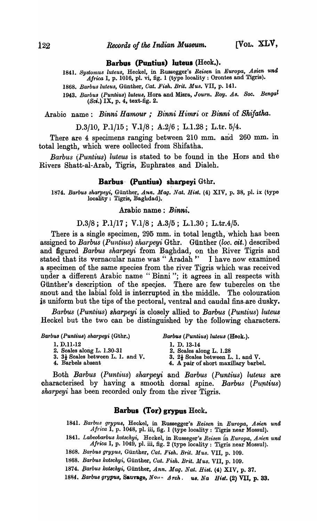### **Barbus (Puntius) luteus (Heck.).**

1841. Systomus luteus, Heckel, in Russegger's *Reisen* in *Europa*, Asien und Africa I, p. 1016, pl. vi, fig. 1 (type locality: Orontes and Tigris).

*1868. Barbusluteus,* Gunther, *Oat. FiBh. Brit. Mus.* VII, p. 141.

1943. Barbus (Puntius) luteus, Hora and Misra, *Journ. Roy. As. Soc. Bengal*  $(Sci.)$  IX, p. 4, text-fig. 2.

Arabic name: *Binni Hamour; Binni Himri* or *Binni* of *Shifatha.* 

D.3/10, P.1/15; V.1/8; A.2/6; L.1.28; L.tr. 5/4.

There are 4 specimens ranging between 210 mm. and 260 mm. in total length, which were oollected from Shifatha.

*Barbus (Puntius) luteus* is stated to be found in the Hors and the Rivers Shatt-al-Arab, Tigris, Euphrates, and Dialeh.

#### **Barbus** (Puntius) sharpeyi Gthr.

1874. Barbus sharpeyi, Günther, Ann. *Mag. Nat. Hist.* (4) XIV, p. 38, pl. ix (type locality: Tigris, Baghdad).

#### Arabio name: *Binni.*

## *D.3j8;* P.ljI7; V.lj8; *A.3/5;* L.I.30; L.tr.4/5.

There is a single specimen, 295 mm. in total length, which has been assigned to *Barbus (Puntius) sharpeyi* Gthr. Günther *(loc. cit.)* described and figured *Barbus sharpeyi* from Baghdad, on the River Tigris and stated that its vernacular name was" Aradah " I have now examined a specimen of the same species from the river Tigris which was received under a different Arabic name "Binni"; it agrees in all respects with Giinther's description of the species. There are few tubercles on the snout and the labial fold is interrupted in the middle. The colouration is uniform but the tips of the pectoral, ventral and caudal fins-are dusky.

*Barbus (Puntius) sharpeyi* is closely allied to *Bamus (Puntius) luteus*  Heckel but the two can be distinguished by the following characters.

*Barbus (Puntius) sharpeyi* (Gthr.) *Barbus (Puntius) luteu8* (Heck.).

- 1. D. 11-12 1. D. 13-14
- 2. Scales along L. 1.30-31
- 3.  $3\frac{1}{2}$  Scales between L. 1. and V.

- 
- 2. Scales along L. 1.28
- 4. Barbels absent
- 3.  $2\frac{1}{2}$  Scales between L. 1. and V. 4. A pair of short maxillary barbel.

Both *Barbus (Puntius) sltarpeyi* and *Barbus (Puntius) luteus* are characterised by having a smooth dorsal spine.' *Barbus (Purttius) skarpeyi* has been recorded only from the river Tigris.

## **Barbus (Tor) grypus** Heck.

- 1841. Barbus grypus, Heckel, in Russegger's *Reisen* in *Europa, Asien und Afnca* I, p. 1048, pl. iii, fig. 1 (type locality: Tigris near Mossul).
- 1841. *Labeobarbus kotschyi*, Heckel, in Russeger's *Reisen* in *Europa*, Asien und *Afnca* I, p. 1049, pI. iii, fig. 2 (type locality: Tigris near Mossul).
- *1808. BaTbu8 grypus,* Gunther, *Oat. FiBh. Brit. Mus.* VII, p. 109.
- *1868. Barbu8 kot8chyi,* Gunther, *Oat. FiBh. Brit. Mus.* VII, p. 109.
- 1874. *Barbus kotschyi, Günther, Ann. Mag. Nat. Hist.* (4) XIV, p. 37.

1884. Barbus grypus, Sauvage, Nony Arch. us. Na Hist. (2) VII, p. 33.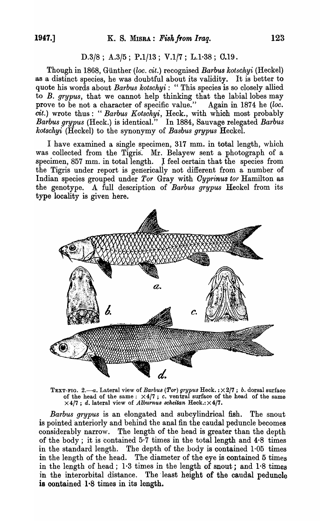## D.3/8; A.3/5; P.1/13; V.1/7; L.1.38; C.19.

Though in 1868, Gunther *(loc. cit.)* recognised *Barbus kotschyi* (Heckel) as a distinct species, he was doubtful about its validity. It is better to quote his words about *Barbus kotsckyi:* "This species is so closely allied to *B. grypus,* that we cannot help thinking that the labial lobes may prove to be not a character of specific value." Again in 1874 he *(loc. cit.)* wrote thus: *"Barbus Kotsckyi,* Heck., with which most probably *Barbus grypus* (Heck.) is identical." In 1884, Sauvage relegated *Barbus kotschyi* (Heckel) to the synonymy of *Basbus grypus* Heckel.

I have examined a single specimen, 317 mm. in total length, which was collected from the Tigris. Mr. Belayew sent a photograph of a specimen, 857 mm. in total length. J feel certain that the species from the Tigris under report is generically not different from a number of Indian species grouped under *Tor* Gray with *Oyprinus tor* Hamilton as the genotype. A full description of *Barbus grypus* Heckel from its type locality is given here.



TEXT-FIG. *2.-a.* Lateral view of *Barbus (Tor) grypus* Heck. : X 2/7 ; *b.* dorsal surface of the head of the same:  $\times 4/7$ ; c. ventral surface of the head of the same  $\times$  4/7; *d.* lateral view of *Alburnus scheitan* Heck.:  $\times$  4/7.

*Barbus grypus* is an elongated and sub cylindrical fish. The snout is pointed anteriorly and behind the anal fin the caudal peduncle becomes considerably narrow. The length of the head is greater than the depth of the body; it is contained 5·7 times in the total length and 4·8 times in the standard length. The depth of the body is contained  $1.05$  times in the length of the head. The diameter of the eye is contained 5 times in the length of head; 1·3 times in the length of snout; and 1·8 times in the interorbital distance. The least height of the caudal peduncle is contained 1.8 times in its length.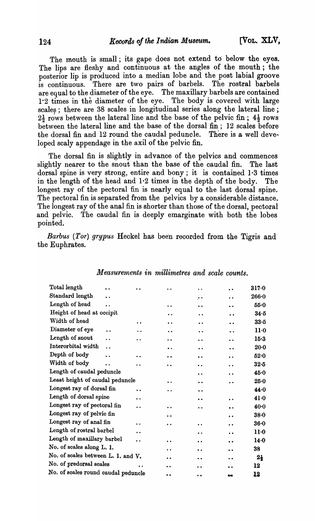The mouth is small; its gape does not extend to below the eyes. The lips are fleshy and continuous at the angles of the mouth; the posterior lip is produced into a median lobe and the post labial groove is continuous. There are two pairs of barbels. The rostral barbels are equal to the diameter of the eye. The maxillary barbels are contained 1-2 times in the diameter of the eye. The body is covered with large scales; there are 38 scales in longitudinal series along the lateral line;  $2\frac{1}{2}$  rows between the lateral line and the base of the pelvic fin;  $4\frac{1}{2}$  rows between the lateral line and the base of the dorsal fin; 12 scales before the dorsal fin and 12 round the caudal peduncle. There is a well developed scaly appendage in the axil of the pelvic fin.

The dorsal fin is slightly in advance of the pelvics and commences slightly nearer to the snout than the base of the caudal fin. The last dorsal spine is very strong, entire and bony; it is contained 1·3 times in the length of the head and  $1.2$  times in the depth of the body. The longest ray of the pectoral fin is nearly equal to the last dorsal spine. The pectoral fin is separated from the pelvics by a considerable distance. The longest ray of the anal fin is shorter than those of the dorsal, pectoral and pelvic. The caudal fin is deeply emarginate with both the lobes pointed.

*Barbus (Tor) grypus* Heckel has been recorded from the Tigris and the Euphrates.

| Standard length<br>$\ddot{\phantom{a}}$                                                                                      | 266.0           |
|------------------------------------------------------------------------------------------------------------------------------|-----------------|
| $\cdot$ .<br>$\ddot{\phantom{1}}$                                                                                            |                 |
| Length of head<br>. .<br>. .<br>$\bullet$<br>$\ddot{\phantom{0}}$                                                            | 55.0            |
| Height of head at occipit<br>$\bullet$<br>$\cdot$ .<br>$\ddot{\phantom{0}}$                                                  | 34.5            |
| Width of head<br>$\ddot{\phantom{a}}$<br>$\ddot{\phantom{a}}$<br>$\ddot{\phantom{a}}$<br>$\ddot{\phantom{a}}$                | 33.5            |
| Diameter of eye<br>$\ddot{\phantom{a}}$<br>$\ddot{\phantom{a}}$<br>$\bullet$<br>$\ddot{\phantom{a}}$<br>$\ddot{\phantom{0}}$ | 11 <sub>0</sub> |
| Length of snout<br>. .<br>$\ddot{\phantom{0}}$<br>$\ddot{\phantom{a}}$<br>$\ddot{\phantom{0}}$<br>$\bullet$                  | 15.3            |
| Interorbital width<br>. .<br>$\bullet$ $\bullet$<br>$\ddot{\phantom{0}}$<br>$\ddot{\phantom{a}}$                             | $20-0$          |
| Depth of body<br>. .<br>$\ddot{\phantom{a}}$<br>$\bullet$<br>$\ddot{\phantom{a}}$<br>$\bullet$                               | 52.0            |
| Width of body<br>. .<br>. .<br>$\bullet$<br>$\bullet$                                                                        | $32-5$          |
| Length of caudal peduncle<br>$\ddot{\phantom{0}}$<br>$\ddot{\phantom{0}}$                                                    | 45.0            |
| Least height of caudal peduncle<br>$\ddot{\phantom{a}}$<br>$\ddot{\phantom{0}}$<br>$\cdot$ $\cdot$                           | 25.0            |
| Longest ray of dorsal fin<br>$\ddot{\phantom{0}}$<br>$\bullet$                                                               | 44.0            |
| Length of dorsal spine<br>$\ddot{\phantom{a}}$<br>$\bullet$<br>$\ddot{\phantom{0}}$                                          | 41.0            |
| Longest ray of pectoral fin<br>$\ddot{\phantom{a}}$<br>$\ddot{\phantom{0}}$<br>$\ddot{\phantom{0}}$<br>$\bullet$             | $40-0$          |
| Longest ray of pelvic fin<br>$\ddot{\phantom{0}}$<br>$\bullet$                                                               | $38 - 0$        |
| Longest ray of anal fin<br>$\ddot{\phantom{a}}$<br>$\cdot$ .<br>$\bullet\bullet$<br>$\bullet$                                | $36 - 0$        |
| Length of rostral barbel<br>$\ddot{\phantom{0}}$<br>$\ddot{\phantom{a}}$<br>$\ddot{\phantom{0}}$                             | $11-0$          |
| Length of maxillary barbel<br>$\ddot{\phantom{0}}$<br>$\bullet$<br>$\ddot{\phantom{a}}$<br>$\bullet$                         | 14.0            |
| No. of scales along L. 1.<br>$\ddot{\phantom{a}}$<br>$\bullet$                                                               | 38              |
| No. of scales between L. 1. and V.<br>. .<br>$\bullet$                                                                       | $2\frac{1}{2}$  |
| No. of predorsal scales<br>$\ddot{\phantom{a}}$<br>$\ddot{\phantom{a}}$<br>$\ddot{\phantom{0}}$<br>$\bullet$                 | 12              |
| No. of scales round caudal peduncle<br>$\ddot{\phantom{0}}$<br>$\bullet$<br>tre                                              | 12              |

#### *Measurements in millimetres and scale counts.*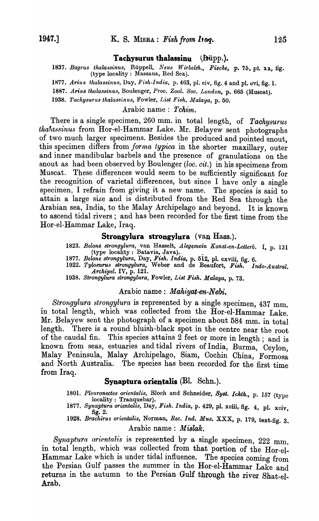#### **Tachysurus thalassinu** (**Regipt**).

1837. Bagrus thalassinus, Rüppell, *Neue Wirbelth., Fische*, p. 75, pl. 22, fig. (type locality: Massaua, Red Sea).

1877. Arius thalassinus, Day, Fish-India, p. 463, pl. civ, fig. 4 and pl. vvi, fig. 1.

*1887. Arius thalassinus,* Boulenger, *Proc. Zool. Soc. London,* p. 665 (Muscat).

1938. Tachysurus thalassinus, Fowler, List Fish. Malaya, p. 50.

## Arabic name: *Tchim.*

There is a single specimen, 260 mm. in total length, of *Tachysurus* thalassinus from Hor-el-Hammar Lake. Mr. Belayew sent photographs of two much larger specimens. Besides the produced and pointed snout, this specimen differs from *forma typica* in the shorter maxillary, outer and inner mandibular barbels and the presence of granulations on the snout as had been observed by Boulenger *(loc. cit.)* in his specimens from Muscat. These differences would seem to be sufficiently significant for the recognition of varietal differences, but since I have only a single specimen, I refrain from giving it a new name. The species is said to attain a large size and is distributed from the Red Sea through the Arabian sea, India, to the Malay Archipelago and beyond. It is known to ascend tidal rivers; and has been recorded for the first time from the Hor-el-Hammar Lake, Iraq.

#### **Strongylura strongylura (van** Hass.).

*1823. Belone strongylura,* van Hasselt, *Alegemein Konst-en-Letterb.* I, p. 131 (type locality: Batavia, Java).

- 1877. *Belone strongylura, Day, Fish. India,* p. 512, pl. cxviii, fig. 6.
- *1922. TyWSUTUs strongylura,* Weber and de Beaufort, *Fish. Indo-Austral. Archipel.* IV, p. 121.
- *1938. Strongylura strongylura,* Fowler, *List lj'ish. Malaya,* p. 73.

#### Arabic name: *Mahiyat-en-Nebi.*

*Strongylura strongylura* is represented by a single specimen, 437 mm. in total length, which was collected from the Hor-el-Hammar Lake. Mr. Belayew sent the photograph of a specimen about 584 mm. in total length. There is a round bluish-black spot in the centre near the root of the caudal fin. This species attains  $2$  feet or more in length; and is known from seas, estuaries and tidal rivers of India, Burma, Ceylon, Malay Peninsula, Malay Archipelago, Siam, Cochin China, Formosa and North Australia. The species has been recorded for the first time from Iraq.

## **Synaptura orientalis** (Bl. Schn.).

1801. Pleuronectes orientalis, Bloch and Schneider, Syst. Ichth., p. 157 (type locality: Tranquebar).

*1877. Synaptura orientalis,* Day, *Fish. India,* p. 429, pI. xoiii, fig. 4, pl. xciv, fig. 2. *1928. Brachirus orientalis,* Norman, *Ree. Ind. Mus.* XXX, p. 179, text-fig. 3.

Arabic name: *Mislak.* 

Synaptura orientalis is represented by a single specimen, 222 mm. in total length, which was collected from that portion of the Hor-el-Hammar Lake which is under tidal influence. The species coming from the Persian Gulf passes the summer in the Hor-el-Hammar Lake and returns in the autumn to the Persian Gulf through the river Shat-el-Arab.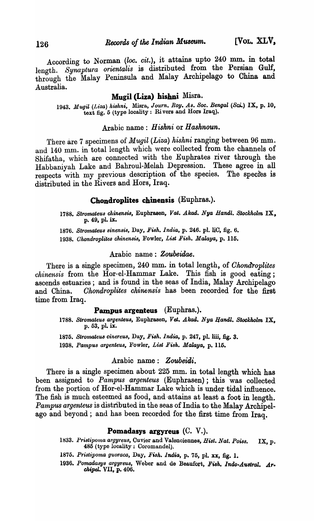According to Norman *(loc. cit.),* it attains upto 240 mm. in total length. Synaptura orientalis is distributed from the Persian Gulf, through the Malay Peninsula and Malay Archipelago to China and Australia.

# Mugil (Liza) hishni Misra.

*1943. Mugil (Liza) hishni,* Misra, *Journ. Roy. As. Soc. Bengal (Sci.)* IX, p. 10, text fig. 5 (type locality: Ri vers and Hors Iraq).

#### Arabic name: *Hiskni* or *Hasknoun.*

There are 7 specimens of *Mugil (Liza) hishni* ranging between 96 mm. and 140 mm. in total length which were collected from the channels of Shifatha, which are connected with the Euphrates river through the Habbaniyah Lake and Bahroul-Melah Depression. These agree in all respects with my previous description of the species. The species is distributed in the Rivers and Hors, Iraq.

# Chondroplites chinensis (Euphras.).

*1788. Stromateus chinensi8,* Euphrasen, *Vat. Akad. Nya Handl. Stockholm* IX, p. 49, pl. ix.

*1876. Stromateus 8inensis,* Day, *Fish. India,* p. 246. pl. liC, fig. 6.

*1938. Ghondroplitea chinensis,* Fowler, *List Fish. Malaya,* p. 115.

# Arabic name: *Zoubeidae.*

There is a single specimen, 240 mm. in total length, of *Chondroplites chinensis* from the Hor-el-Hammar Lake. This fish is good eating; ascends estuaries; and is found in the seas of India, Malay Archipelago and China. *Okondroplites chinensis* has been recorded for the first time from Iraq.

# Pampus argenteus (Euphras.).

1788. Stromateus argenteus, Euphrasen, Vet. Akad. Nya Handl. Stockholm IX. p. 53, pl. ix.

*1875. Stromateua cinereus,* Day, *Fish. India,* p. 247, pl. lili, fig. 3. 1938. *Pam pus argenteus,* Fowler, *List Fish. Malaya,* p. 115.

#### Arabic name: *Zoubeidi.*

There is a single specimen about 225 mm. in total length which has been assigned to *Pampus argenteus* (Euphrasen); this was collected from the portion of Hor-el-Hammar Lake which is under tidal influence. The fish is much esteemed as food, and attains at least a foot in length. *Pampus argenteus* is distributed in the seas of India to the Malay Archipelago and beyond; and has been recorded for the first time from Iraq.

### Pomadasys argyreus  $(C, V)$ .

- 1833. Pristipoma argyreus, Cuvier and Valenciennes, *Hist. Nat. Poiss.* IX, p. 485 (type locality: Coromandel).
- *1875. Pristipoma guoraca,* Day, *Fi8h. India,* p. 75, pl. xx, fig. 1.
- 1936. Pomadasys argyreus, Weber and de Beaufort, Fish. Indo-Austral. Ar*ch.peL.* VIT, p. 406.